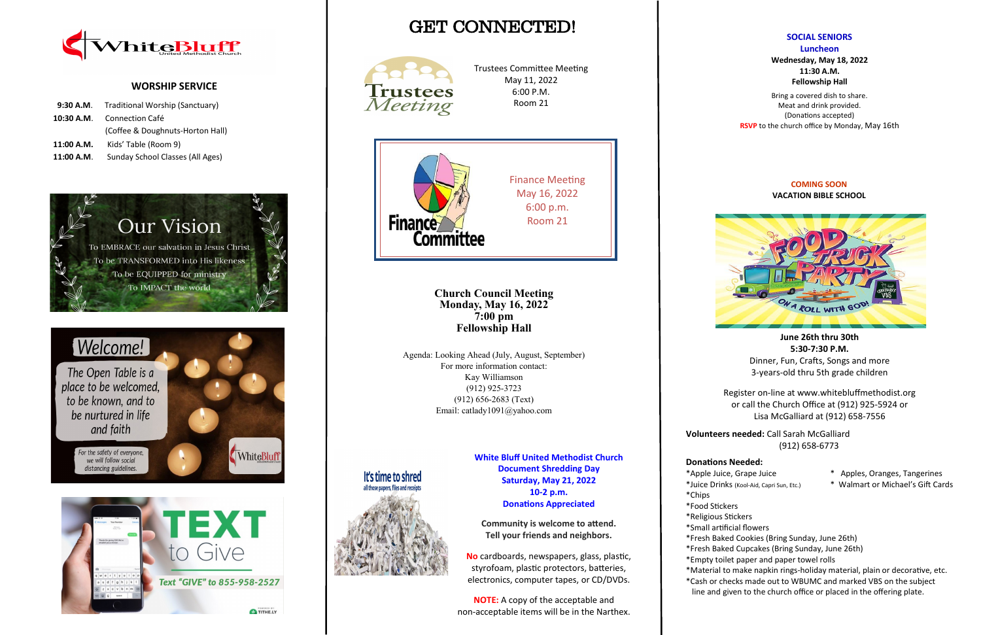# GET CONNECTED!



### **COMING SOON VACATION BIBLE SCHOOL**

**June 26th thru 30th 5:30-7:30 P.M.**

Dinner, Fun, Crafts, Songs and more 3-years-old thru 5th grade children

Register on-line at www.whitebluffmethodist.org or call the Church Office at (912) 925-5924 or Lisa McGalliard at (912) 658-7556

**Volunteers needed:** Call Sarah McGalliard (912) 658-6773

### **Donations Needed:**

- \*Apple Juice, Grape Juice \* Apples, Oranges, Tangerines
- \*Juice Drinks (Kool-Aid, Capri Sun, Etc.) \* Walmart or Michael's Gift Cards
- \*Small artificial flowers
- 
- 
- \*Chips
- \*Food Stickers
- \*Religious Stickers
- \*Fresh Baked Cookies (Bring Sunday, June 26th)
- \*Fresh Baked Cupcakes (Bring Sunday, June 26th)
- \*Empty toilet paper and paper towel rolls
- \*Material to make napkin rings-holiday material, plain or decorative, etc. \*Cash or checks made out to WBUMC and marked VBS on the subject
- line and given to the church office or placed in the offering plate.



### **WORSHIP SERVICE**

|            | 9:30 A.M. Traditional Worship (Sanctuary) |  |  |
|------------|-------------------------------------------|--|--|
|            | <b>10:30 A.M.</b> Connection Café         |  |  |
|            | (Coffee & Doughnuts-Horton Hall)          |  |  |
| 11:00 A.M. | Kids' Table (Room 9)                      |  |  |
| 11:00 A.M. | Sunday School Classes (All Ages)          |  |  |







**SOCIAL SENIORS Luncheon Wednesday, May 18, 2022 11:30 A.M. Fellowship Hall**

Bring a covered dish to share. Meat and drink provided. (Donations accepted) **RSVP** to the church office by Monday, May 16th



Trustees Committee Meeting May 11, 2022 6:00 P.M. Room 21

**Church Council Meeting Monday, May 16, 2022 7:00 pm Fellowship Hall**

Agenda: Looking Ahead (July, August, September) For more information contact: Kay Williamson (912) 925-3723 (912) 656-2683 (Text) Email: catlady1091@yahoo.com



**White Bluff United Methodist Church Document Shredding Day Saturday, May 21, 2022 10-2 p.m. Donations Appreciated**

**Community is welcome to attend. Tell your friends and neighbors.**

**No** cardboards, newspapers, glass, plastic, styrofoam, plastic protectors, batteries, electronics, computer tapes, or CD/DVDs.

**NOTE:** A copy of the acceptable and non-acceptable items will be in the Narthex.